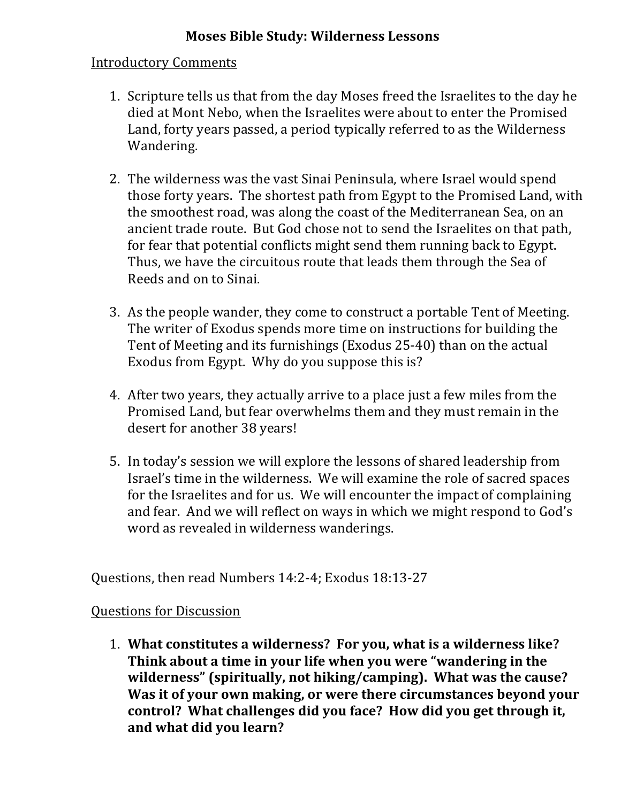## **Moses Bible Study: Wilderness Lessons**

## Introductory Comments

- 1. Scripture tells us that from the day Moses freed the Israelites to the day he died at Mont Nebo, when the Israelites were about to enter the Promised Land, forty years passed, a period typically referred to as the Wilderness Wandering.
- 2. The wilderness was the vast Sinai Peninsula, where Israel would spend those forty years. The shortest path from Egypt to the Promised Land, with the smoothest road, was along the coast of the Mediterranean Sea, on an ancient trade route. But God chose not to send the Israelites on that path, for fear that potential conflicts might send them running back to Egypt. Thus, we have the circuitous route that leads them through the Sea of Reeds and on to Sinai.
- 3. As the people wander, they come to construct a portable Tent of Meeting. The writer of Exodus spends more time on instructions for building the Tent of Meeting and its furnishings (Exodus 25-40) than on the actual Exodus from Egypt. Why do you suppose this is?
- 4. After two years, they actually arrive to a place just a few miles from the Promised Land, but fear overwhelms them and they must remain in the desert for another 38 years!
- 5. In today's session we will explore the lessons of shared leadership from Israel's time in the wilderness. We will examine the role of sacred spaces for the Israelites and for us. We will encounter the impact of complaining and fear. And we will reflect on ways in which we might respond to God's word as revealed in wilderness wanderings.

Questions, then read Numbers 14:2-4; Exodus 18:13-27

## **Questions for Discussion**

1. What constitutes a wilderness? For you, what is a wilderness like? Think about a time in your life when you were "wandering in the wilderness" (spiritually, not hiking/camping). What was the cause? Was it of your own making, or were there circumstances beyond your control? What challenges did you face? How did you get through it, and what did you learn?